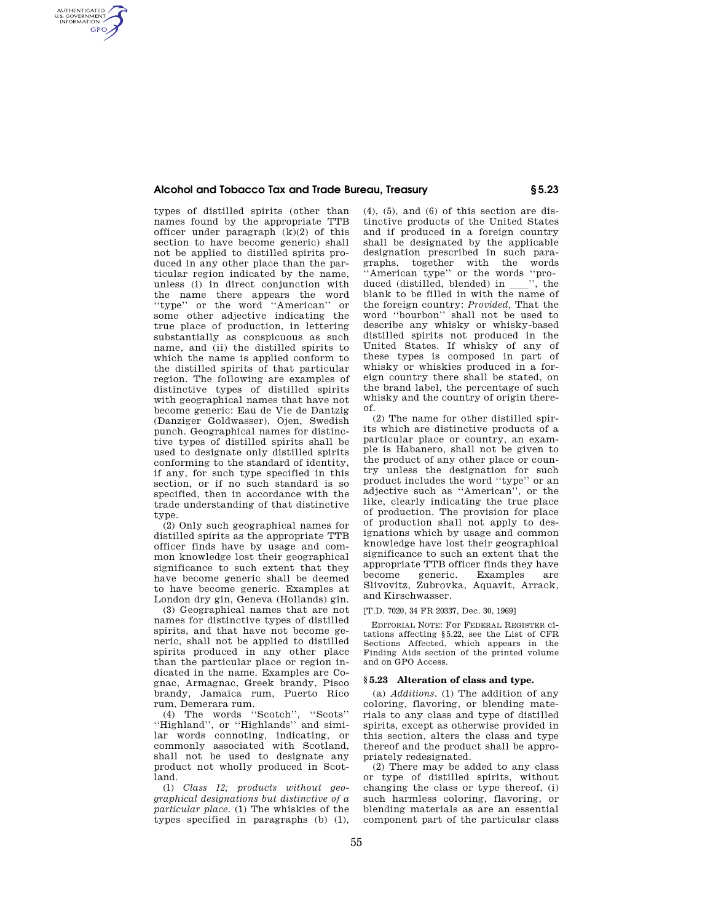# **Alcohol and Tobacco Tax and Trade Bureau, Treasury § 5.23**

types of distilled spirits (other than names found by the appropriate TTB officer under paragraph (k)(2) of this section to have become generic) shall not be applied to distilled spirits produced in any other place than the particular region indicated by the name, unless (i) in direct conjunction with the name there appears the word ''type'' or the word ''American'' or some other adjective indicating the true place of production, in lettering substantially as conspicuous as such name, and (ii) the distilled spirits to which the name is applied conform to the distilled spirits of that particular region. The following are examples of distinctive types of distilled spirits with geographical names that have not become generic: Eau de Vie de Dantzig (Danziger Goldwasser), Ojen, Swedish punch. Geographical names for distinctive types of distilled spirits shall be used to designate only distilled spirits conforming to the standard of identity, if any, for such type specified in this section, or if no such standard is so specified, then in accordance with the trade understanding of that distinctive type.

AUTHENTICATED<br>U.S. GOVERNMENT<br>INFORMATION **GPO** 

> (2) Only such geographical names for distilled spirits as the appropriate TTB officer finds have by usage and common knowledge lost their geographical significance to such extent that they have become generic shall be deemed to have become generic. Examples at London dry gin, Geneva (Hollands) gin.

> (3) Geographical names that are not names for distinctive types of distilled spirits, and that have not become generic, shall not be applied to distilled spirits produced in any other place than the particular place or region indicated in the name. Examples are Cognac, Armagnac, Greek brandy, Pisco brandy, Jamaica rum, Puerto Rico rum, Demerara rum.

> (4) The words ''Scotch'', ''Scots'' ''Highland'', or ''Highlands'' and similar words connoting, indicating, or commonly associated with Scotland, shall not be used to designate any product not wholly produced in Scotland.

> (l) *Class 12; products without geographical designations but distinctive of a particular place.* (1) The whiskies of the types specified in paragraphs (b) (1),

 $(4)$ ,  $(5)$ , and  $(6)$  of this section are distinctive products of the United States and if produced in a foreign country shall be designated by the applicable designation prescribed in such paragraphs, together with the words "American type" or the words "pro-<br>duced (distilled, blended) in ", the duced (distilled, blended) in ll'', the blank to be filled in with the name of the foreign country: *Provided,* That the word ''bourbon'' shall not be used to describe any whisky or whisky-based distilled spirits not produced in the United States. If whisky of any of these types is composed in part of whisky or whiskies produced in a foreign country there shall be stated, on the brand label, the percentage of such whisky and the country of origin thereof.

(2) The name for other distilled spirits which are distinctive products of a particular place or country, an example is Habanero, shall not be given to the product of any other place or country unless the designation for such product includes the word ''type'' or an adjective such as ''American'', or the like, clearly indicating the true place of production. The provision for place of production shall not apply to designations which by usage and common knowledge have lost their geographical significance to such an extent that the appropriate TTB officer finds they have become generic. Examples are Slivovitz, Zubrovka, Aquavit, Arrack, and Kirschwasser.

# [T.D. 7020, 34 FR 20337, Dec. 30, 1969]

EDITORIAL NOTE: For FEDERAL REGISTER citations affecting §5.22, see the List of CFR Sections Affected, which appears in the Finding Aids section of the printed volume and on GPO Access.

## **§ 5.23 Alteration of class and type.**

(a) *Additions.* (1) The addition of any coloring, flavoring, or blending materials to any class and type of distilled spirits, except as otherwise provided in this section, alters the class and type thereof and the product shall be appropriately redesignated.

(2) There may be added to any class or type of distilled spirits, without changing the class or type thereof, (i) such harmless coloring, flavoring, or blending materials as are an essential component part of the particular class